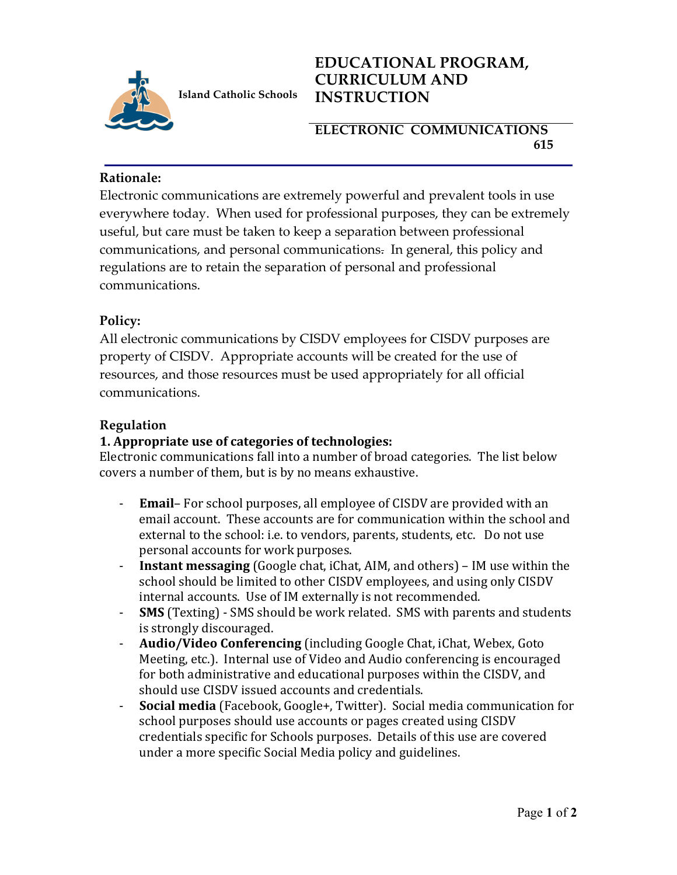

**Island Catholic Schools** 

# **EDUCATIONAL PROGRAM, CURRICULUM AND INSTRUCTION**

## **ELECTRONIC COMMUNICATIONS 615**

#### **Rationale:**

Electronic communications are extremely powerful and prevalent tools in use everywhere today. When used for professional purposes, they can be extremely useful, but care must be taken to keep a separation between professional communications, and personal communications. In general, this policy and regulations are to retain the separation of personal and professional communications.

# **Policy:**

All electronic communications by CISDV employees for CISDV purposes are property of CISDV. Appropriate accounts will be created for the use of resources, and those resources must be used appropriately for all official communications.

### **Regulation**

## **1. Appropriate use of categories of technologies:**

Electronic communications fall into a number of broad categories. The list below covers a number of them, but is by no means exhaustive.

- **Email** For school purposes, all employee of CISDV are provided with an email account. These accounts are for communication within the school and external to the school: i.e. to vendors, parents, students, etc. Do not use personal accounts for work purposes.
- **- Instant messaging** (Google chat, iChat, AIM, and others) IM use within the school should be limited to other CISDV employees, and using only CISDV internal accounts. Use of IM externally is not recommended.
- **SMS** (Texting) SMS should be work related. SMS with parents and students is strongly discouraged.
- **Audio/Video Conferencing** (including Google Chat, iChat, Webex, Goto Meeting, etc.). Internal use of Video and Audio conferencing is encouraged for both administrative and educational purposes within the CISDV, and should use CISDV issued accounts and credentials.
- **Social media** (Facebook, Google+, Twitter). Social media communication for school purposes should use accounts or pages created using CISDV credentials specific for Schools purposes. Details of this use are covered under a more specific Social Media policy and guidelines.